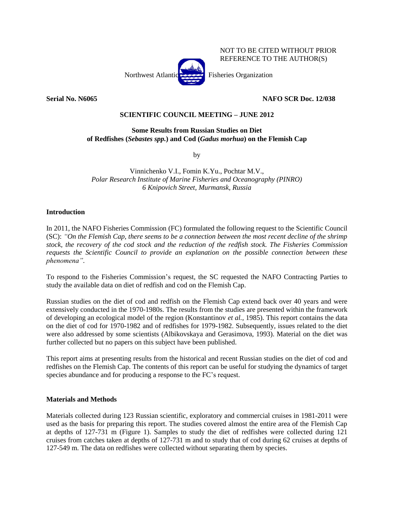

NOT TO BE CITED WITHOUT PRIOR REFERENCE TO THE AUTHOR(S)

**Serial No. N6065 NAFO SCR Doc. 12/038**

## **SCIENTIFIC COUNCIL MEETING – JUNE 2012**

## **Some Results from Russian Studies on Diet of Redfishes (***Sebastes spp.***) and Cod (***Gadus morhua***) on the Flemish Cap**

by

Vinnichenko V.I., Fomin K.Yu., Pochtar M.V., *Polar Research Institute of Marine Fisheries and Oceanography (PINRO) 6 Knipovich Street, Murmansk, Russia*

## **Introduction**

In 2011, the NAFO Fisheries Commission (FC) formulated the following request to the Scientific Council (SC): *"On the Flemish Cap, there seems to be a connection between the most recent decline of the shrimp stock, the recovery of the cod stock and the reduction of the redfish stock. The Fisheries Commission requests the Scientific Council to provide an explanation on the possible connection between these phenomena"*.

To respond to the Fisheries Commission's request, the SC requested the NAFO Contracting Parties to study the available data on diet of redfish and cod on the Flemish Cap.

Russian studies on the diet of cod and redfish on the Flemish Cap extend back over 40 years and were extensively conducted in the 1970-1980s. The results from the studies are presented within the framework of developing an ecological model of the region (Konstantinov *et al.*, 1985). This report contains the data on the diet of cod for 1970-1982 and of redfishes for 1979-1982. Subsequently, issues related to the diet were also addressed by some scientists (Albikovskaya and Gerasimova, 1993). Material on the diet was further collected but no papers on this subject have been published.

This report aims at presenting results from the historical and recent Russian studies on the diet of cod and redfishes on the Flemish Cap. The contents of this report can be useful for studying the dynamics of target species abundance and for producing a response to the FC's request.

## **Materials and Methods**

Materials collected during 123 Russian scientific, exploratory and commercial cruises in 1981-2011 were used as the basis for preparing this report. The studies covered almost the entire area of the Flemish Cap at depths of 127-731 m (Figure 1). Samples to study the diet of redfishes were collected during 121 cruises from catches taken at depths of 127-731 m and to study that of cod during 62 cruises at depths of 127-549 m. The data on redfishes were collected without separating them by species.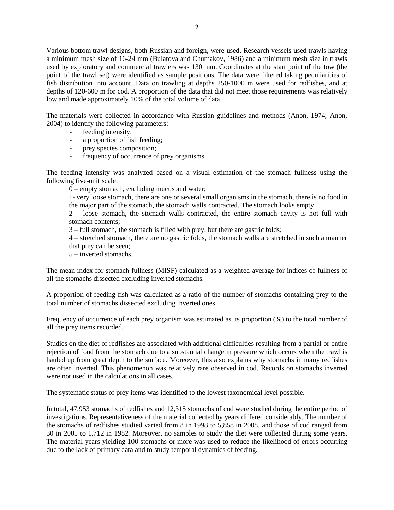Various bottom trawl designs, both Russian and foreign, were used. Research vessels used trawls having a minimum mesh size of 16-24 mm (Bulatova and Chumakov, 1986) and a minimum mesh size in trawls used by exploratory and commercial trawlers was 130 mm. Coordinates at the start point of the tow (the point of the trawl set) were identified as sample positions. The data were filtered taking peculiarities of fish distribution into account. Data on trawling at depths 250-1000 m were used for redfishes, and at depths of 120-600 m for cod. A proportion of the data that did not meet those requirements was relatively low and made approximately 10% of the total volume of data.

The materials were collected in accordance with Russian guidelines and methods (Anon, 1974; Anon, 2004) to identify the following parameters:

- feeding intensity;
- a proportion of fish feeding;
- prey species composition;
- frequency of occurrence of prey organisms.

The feeding intensity was analyzed based on a visual estimation of the stomach fullness using the following five-unit scale:

0 – empty stomach, excluding mucus and water;

1- very loose stomach, there are one or several small organisms in the stomach, there is no food in the major part of the stomach, the stomach walls contracted. The stomach looks empty.

2 – loose stomach, the stomach walls contracted, the entire stomach cavity is not full with stomach contents;

3 – full stomach, the stomach is filled with prey, but there are gastric folds;

4 – stretched stomach, there are no gastric folds, the stomach walls are stretched in such a manner that prey can be seen;

5 – inverted stomachs.

The mean index for stomach fullness (MISF) calculated as a weighted average for indices of fullness of all the stomachs dissected excluding inverted stomachs.

A proportion of feeding fish was calculated as a ratio of the number of stomachs containing prey to the total number of stomachs dissected excluding inverted ones.

Frequency of occurrence of each prey organism was estimated as its proportion (%) to the total number of all the prey items recorded.

Studies on the diet of redfishes are associated with additional difficulties resulting from a partial or entire rejection of food from the stomach due to a substantial change in pressure which occurs when the trawl is hauled up from great depth to the surface. Moreover, this also explains why stomachs in many redfishes are often inverted. This phenomenon was relatively rare observed in cod. Records on stomachs inverted were not used in the calculations in all cases.

The systematic status of prey items was identified to the lowest taxonomical level possible.

In total, 47,953 stomachs of redfishes and 12,315 stomachs of cod were studied during the entire period of investigations. Representativeness of the material collected by years differed considerably. The number of the stomachs of redfishes studied varied from 8 in 1998 to 5,858 in 2008, and those of cod ranged from 30 in 2005 to 1,712 in 1982. Moreover, no samples to study the diet were collected during some years. The material years yielding 100 stomachs or more was used to reduce the likelihood of errors occurring due to the lack of primary data and to study temporal dynamics of feeding.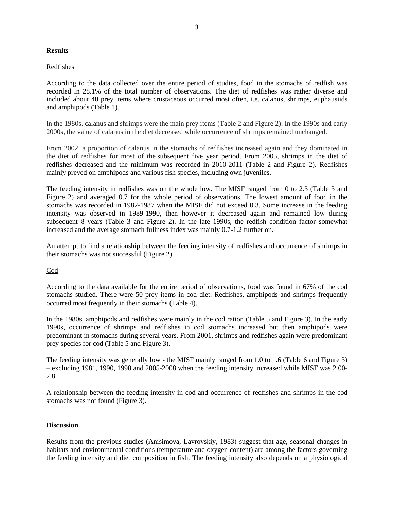#### **Results**

#### Redfishes

According to the data collected over the entire period of studies, food in the stomachs of redfish was recorded in 28.1% of the total number of observations. The diet of redfishes was rather diverse and included about 40 prey items where crustaceous occurred most often, i.e. calanus, shrimps, euphausiids and amphipods (Table 1).

In the 1980s, calanus and shrimps were the main prey items (Table 2 and Figure 2). In the 1990s and early 2000s, the value of calanus in the diet decreased while occurrence of shrimps remained unchanged.

From 2002, a proportion of calanus in the stomachs of redfishes increased again and they dominated in the diet of redfishes for most of the subsequent five year period. From 2005, shrimps in the diet of redfishes decreased and the minimum was recorded in 2010-2011 (Table 2 and Figure 2). Redfishes mainly preyed on amphipods and various fish species, including own juveniles.

The feeding intensity in redfishes was on the whole low. The MISF ranged from 0 to 2.3 (Table 3 and Figure 2) and averaged 0.7 for the whole period of observations. The lowest amount of food in the stomachs was recorded in 1982-1987 when the MISF did not exceed 0.3. Some increase in the feeding intensity was observed in 1989-1990, then however it decreased again and remained low during subsequent 8 years (Table 3 and Figure 2). In the late 1990s, the redfish condition factor somewhat increased and the average stomach fullness index was mainly 0.7-1.2 further on.

An attempt to find a relationship between the feeding intensity of redfishes and occurrence of shrimps in their stomachs was not successful (Figure 2).

## Cod

According to the data available for the entire period of observations, food was found in 67% of the cod stomachs studied. There were 50 prey items in cod diet. Redfishes, amphipods and shrimps frequently occurred most frequently in their stomachs (Table 4).

In the 1980s, amphipods and redfishes were mainly in the cod ration (Table 5 and Figure 3). In the early 1990s, occurrence of shrimps and redfishes in cod stomachs increased but then amphipods were predominant in stomachs during several years. From 2001, shrimps and redfishes again were predominant prey species for cod (Table 5 and Figure 3).

The feeding intensity was generally low - the MISF mainly ranged from 1.0 to 1.6 (Table 6 and Figure 3) – excluding 1981, 1990, 1998 and 2005-2008 when the feeding intensity increased while MISF was 2.00- 2.8.

A relationship between the feeding intensity in cod and occurrence of redfishes and shrimps in the cod stomachs was not found (Figure 3).

#### **Discussion**

Results from the previous studies (Anisimova, Lavrovskiy, 1983) suggest that age, seasonal changes in habitats and environmental conditions (temperature and oxygen content) are among the factors governing the feeding intensity and diet composition in fish. The feeding intensity also depends on a physiological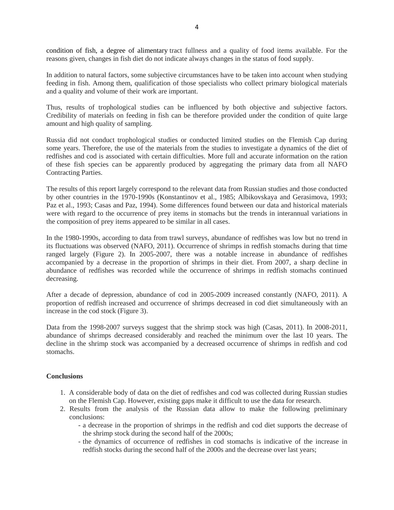condition of fish, a degree of alimentary tract fullness and a quality of food items available. For the reasons given, changes in fish diet do not indicate always changes in the status of food supply.

In addition to natural factors, some subjective circumstances have to be taken into account when studying feeding in fish. Among them, qualification of those specialists who collect primary biological materials and a quality and volume of their work are important.

Thus, results of trophological studies can be influenced by both objective and subjective factors. Credibility of materials on feeding in fish can be therefore provided under the condition of quite large amount and high quality of sampling.

Russia did not conduct trophological studies or conducted limited studies on the Flemish Cap during some years. Therefore, the use of the materials from the studies to investigate a dynamics of the diet of redfishes and cod is associated with certain difficulties. More full and accurate information on the ration of these fish species can be apparently produced by aggregating the primary data from all NAFO Contracting Parties.

The results of this report largely correspond to the relevant data from Russian studies and those conducted by other countries in the 1970-1990s (Konstantinov et al., 1985; Albikovskaya and Gerasimova, 1993; Paz et al., 1993; Casas and Paz, 1994). Some differences found between our data and historical materials were with regard to the occurrence of prey items in stomachs but the trends in interannual variations in the composition of prey items appeared to be similar in all cases.

In the 1980-1990s, according to data from trawl surveys, abundance of redfishes was low but no trend in its fluctuations was observed (NAFO, 2011). Occurrence of shrimps in redfish stomachs during that time ranged largely (Figure 2). In 2005-2007, there was a notable increase in abundance of redfishes accompanied by a decrease in the proportion of shrimps in their diet. From 2007, a sharp decline in abundance of redfishes was recorded while the occurrence of shrimps in redfish stomachs continued decreasing.

After a decade of depression, abundance of cod in 2005-2009 increased constantly (NAFO, 2011). A proportion of redfish increased and occurrence of shrimps decreased in cod diet simultaneously with an increase in the cod stock (Figure 3).

Data from the 1998-2007 surveys suggest that the shrimp stock was high (Casas, 2011). In 2008-2011, abundance of shrimps decreased considerably and reached the minimum over the last 10 years. The decline in the shrimp stock was accompanied by a decreased occurrence of shrimps in redfish and cod stomachs.

## **Conclusions**

- 1. A considerable body of data on the diet of redfishes and cod was collected during Russian studies on the Flemish Cap. However, existing gaps make it difficult to use the data for research.
- 2. Results from the analysis of the Russian data allow to make the following preliminary conclusions:
	- a decrease in the proportion of shrimps in the redfish and cod diet supports the decrease of the shrimp stock during the second half of the 2000s;
	- the dynamics of occurrence of redfishes in cod stomachs is indicative of the increase in redfish stocks during the second half of the 2000s and the decrease over last years;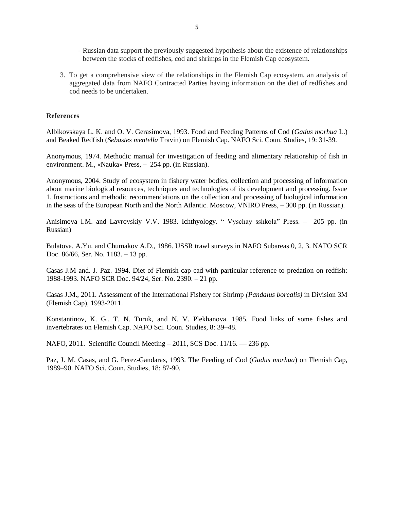- Russian data support the previously suggested hypothesis about the existence of relationships between the stocks of redfishes, cod and shrimps in the Flemish Cap ecosystem.
- 3. To get a comprehensive view of the relationships in the Flemish Cap ecosystem, an analysis of aggregated data from NAFO Contracted Parties having information on the diet of redfishes and cod needs to be undertaken.

#### **References**

Albikovskaya L. K. and O. V. Gerasimova, 1993. Food and Feeding Patterns of Cod (*Gadus morhua* L.) and Beaked Redfish (*Sebastes mentella* Travin) on Flemish Cap. NAFO Sci. Coun. Studies, 19: 31-39.

Anonymous, 1974. Methodic manual for investigation of feeding and alimentary relationship of fish in environment. М., «Nauka» Press, – 254 pp. (in Russian).

Anonymous, 2004. Study of ecosystem in fishery water bodies, collection and processing of information about marine biological resources, techniques and technologies of its development and processing. Issue 1. Instructions and methodic recommendations on the collection and processing of biological information in the seas of the European North and the North Atlantic. Moscow, VNIRO Press, – 300 pp. (in Russian).

Anisimova I.M. and Lavrovskiy V.V. 1983. Ichthyology. " Vyschay sshkola" Press. – 205 pp. (in Russian)

Bulatova, A.Yu. and Chumakov A.D., 1986. USSR trawl surveys in NAFO Subareas 0, 2, 3. NAFO SCR Doc. 86/66, Ser. No. 1183. – 13 pp.

Casas J.M and. J. Paz. 1994. Diet of Flemish cap cad with particular reference to predation on redfish: 1988-1993. NAFO SCR Doc. 94/24, Ser. No. 2390. – 21 pp.

Casas J.M., 2011. Assessment of the International Fishery for Shrimp *(Pandalus borealis)* in Division 3M (Flemish Cap), 1993-2011.

Konstantinov, K. G., T. N. Turuk, and N. V. Plekhanova. 1985. Food links of some fishes and invertebrates on Flemish Cap. NAFO Sci. Coun. Studies, 8: 39–48.

NAFO, 2011. Scientific Council Meeting – 2011, SCS Doc. 11/16. –– 236 pp.

Paz, J. M. Casas, and G. Perez-Gandaras, 1993. The Feeding of Cod (*Gadus morhua*) on Flemish Cap, 1989–90. NAFO Sci. Coun. Studies, 18: 87-90.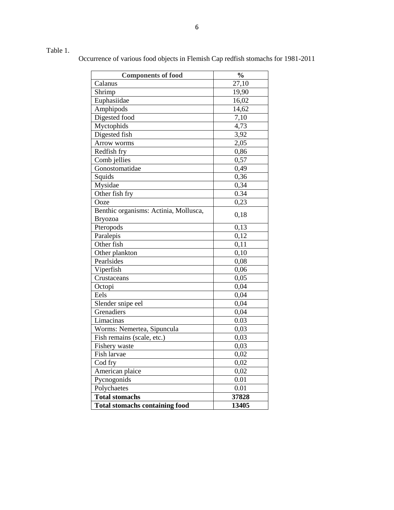# Table 1.

Occurrence of various food objects in Flemish Cap redfish stomachs for 1981-2011

| <b>Components of food</b>             | $\frac{0}{0}$ |
|---------------------------------------|---------------|
| Calanus                               | 27,10         |
| Shrimp                                | 19,90         |
| Euphasiidae                           | 16,02         |
| Amphipods                             | 14,62         |
| Digested food                         | 7,10          |
| Myctophids                            | 4,73          |
| Digested fish                         | 3,92          |
| Arrow worms                           | 2,05          |
| Redfish fry                           | 0,86          |
| Comb jellies                          | 0,57          |
| Gonostomatidae                        | 0,49          |
| Squids                                | 0,36          |
| Mysidae                               | 0,34          |
| Other fish fry                        | 0.34          |
| Ooze                                  | 0,23          |
| Benthic organisms: Actinia, Mollusca, |               |
| <b>Bryozoa</b>                        | 0,18          |
| Pteropods                             | 0,13          |
| Paralepis                             | 0,12          |
| Other fish                            | 0,11          |
| Other plankton                        | 0,10          |
| Pearlsides                            | 0,08          |
| Viperfish                             | 0,06          |
| Crustaceans                           | 0,05          |
| Octopi                                | 0,04          |
| Eels                                  | 0,04          |
| Slender snipe eel                     | 0,04          |
| Grenadiers                            | 0,04          |
| Limacinas                             | 0.03          |
| Worms: Nemertea, Sipuncula            | 0,03          |
| Fish remains (scale, etc.)            | 0,03          |
| Fishery waste                         | 0,03          |
| Fish larvae                           | 0,02          |
| Cod fry                               | 0,02          |
| American plaice                       | 0,02          |
| Pycnogonids                           | 0.01          |
| Polychaetes                           | 0.01          |
| <b>Total stomachs</b>                 | 37828         |
| <b>Total stomachs containing food</b> | 13405         |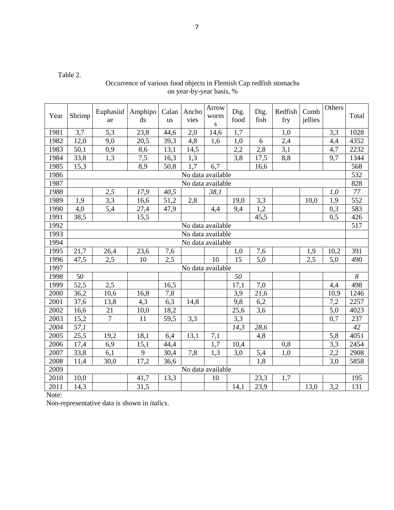Table 2.

## Occurrence of various food objects in Flemish Cap redfish stomachs on year-by-year basis, %

| Year | Shrimp            | Euphasiid<br>ae  | Amphipo<br>ds  | Calan<br>us | Ancho<br>vies     | Arrow<br>worm<br>${\bf S}$ | Dig.<br>food | Dig.<br>fish | Redfish<br>fry | Comb<br>jellies | Others           | Total                 |
|------|-------------------|------------------|----------------|-------------|-------------------|----------------------------|--------------|--------------|----------------|-----------------|------------------|-----------------------|
| 1981 | 3,7               | 5,3              | 23,8           | 44,6        | 2,0               | 14,6                       | 1,7          |              | 1,0            |                 | 3,3              | 1028                  |
| 1982 | 12,0              | 9,0              | 20,5           | 39,3        | 4,8               | 1,6                        | 1,0          | 6            | 2,4            |                 | 4,4              | 4352                  |
| 1983 | 50,1              | 0,9              | 8,6            | 13,1        | 14,5              |                            | 2,2          | 2,8          | 3,1            |                 | 4,7              | 2232                  |
| 1984 | 33,8              | 1,3              | 7,5            | 16,3        | 1,3               |                            | 3,8          | 17,5         | 8,8            |                 | 9,7              | 1344                  |
| 1985 | 15,3              |                  | 8,9            | 50,8        | 1.7               | 6,7                        |              | 16,6         |                |                 |                  | 568                   |
| 1986 |                   |                  |                |             | No data available |                            |              |              |                |                 |                  | 532                   |
| 1987 | No data available |                  |                |             |                   |                            |              |              |                | 828             |                  |                       |
| 1988 |                   | $2,\overline{5}$ | 17,9           | 40,5        |                   | 38,1                       |              |              |                |                 | 1,0              | $77\,$                |
| 1989 | 1,9               | 3,3              | 16,6           | 51,2        | 2,8               |                            | 19,0         | 3,3          |                | 10,0            | 1,9              | 552                   |
| 1990 | 4,0               | 5,4              | 27,4           | 47,9        |                   | 4,4                        | 9,4          | 1,2          |                |                 | 0,3              | 583                   |
| 1991 | 38,5              |                  | 15,5           |             |                   |                            |              | 45,5         |                |                 | 0,5              | 426                   |
| 1992 | No data available |                  |                |             |                   |                            |              |              |                |                 | $\overline{517}$ |                       |
| 1993 | No data available |                  |                |             |                   |                            |              |              |                |                 |                  |                       |
| 1994 |                   |                  |                |             |                   | No data available          |              |              |                |                 |                  |                       |
| 1995 | 21,7              | 26,4             | 23,6           | 7,6         |                   |                            | 1,0          | 7,6          |                | 1,9             | 10,2             | 391                   |
| 1996 | 47,5              | 2,5              | 10             | 2,5         |                   | 10                         | 15           | 5,0          |                | 2,5             | 5,0              | 490                   |
| 1997 |                   |                  |                |             | No data available |                            |              |              |                |                 |                  |                       |
| 1998 | 50                |                  |                |             |                   |                            | 50           |              |                |                 |                  | $\boldsymbol{\delta}$ |
| 1999 | 52,5              | 2,5              |                | 16,5        |                   |                            | 17,1         | 7,0          |                |                 | 4,4              | 498                   |
| 2000 | 36,2              | 10,6             | 16,8           | 7,8         |                   |                            | 3,9          | 21,6         |                |                 | 10,9             | 1246                  |
| 2001 | 37,6              | 13,8             | 4,3            | 6,3         | 14,8              |                            | 9,8          | 6,2          |                |                 | 7,2              | 2257                  |
| 2002 | 16,6              | 21               | 10,0           | 18,2        |                   |                            | 25,6         | 3,6          |                |                 | 5,0              | 4023                  |
| 2003 | 15,2              | $\overline{7}$   | 11             | 59,5        | 3,3               |                            | 3,3          |              |                |                 | 0,7              | 237                   |
| 2004 | 57,1              |                  |                |             |                   |                            | 14,3         | 28,6         |                |                 |                  | 42                    |
| 2005 | 25,5              | 19,2             | 18,1           | 6,4         | 13,1              | 7,1                        |              | 4,8          |                |                 | 5,8              | 4051                  |
| 2006 | 17,4              | 6,9              | 15,1           | 44,4        |                   | 1,7                        | 10,4         |              | 0,8            |                 | 3,3              | 2454                  |
| 2007 | 33,8              | 6,1              | $\overline{9}$ | 30,4        | 7,8               | 1,3                        | 3,0          | 5,4          | 1,0            |                 | 2,2              | 2908                  |
| 2008 | 11,4              | 30,0             | 17,2           | 36,6        |                   |                            |              | 1,8          |                |                 | 3,0              | 5858                  |
| 2009 |                   |                  |                |             |                   | No data available          |              |              |                |                 |                  |                       |
| 2010 | 10,0              |                  | 41,7           | 13,3        |                   | 10                         |              | 23,3         | 1,7            |                 |                  | 195                   |
| 2011 | 14,3              |                  | 31,5           |             |                   |                            | 14,1         | 23,9         |                | 13,0            | 3,2              | 131                   |

Note: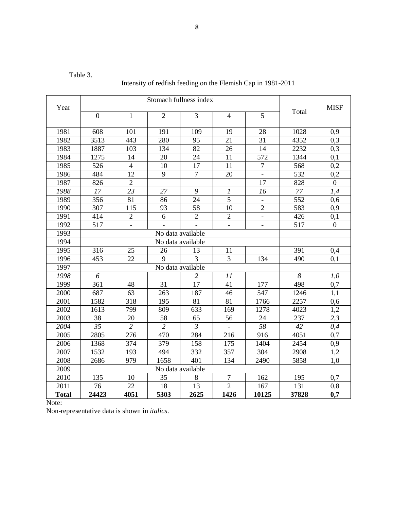Table 3.

Intensity of redfish feeding on the Flemish Cap in 1981-2011

| Year         |                   |                 |                   |                |                |                          | Total | <b>MISF</b>    |  |  |
|--------------|-------------------|-----------------|-------------------|----------------|----------------|--------------------------|-------|----------------|--|--|
|              | $\boldsymbol{0}$  | 1               | $\overline{2}$    | 3              | $\overline{4}$ | 5                        |       |                |  |  |
| 1981         | 608               | 101             | 191               | 109            | 19             | 28                       | 1028  | 0,9            |  |  |
| 1982         | 3513              | 443             | 280               | 95             | 21             | 31                       | 4352  | 0,3            |  |  |
| 1983         | 1887              | 103             | 134               | 82             | 26             | 14                       | 2232  | 0,3            |  |  |
| 1984         | 1275              | 14              | 20                | 24             | 11             | 572                      | 1344  | 0,1            |  |  |
| 1985         | 526               | $\overline{4}$  | 10                | 17             | 11             | $\tau$                   | 568   | 0,2            |  |  |
| 1986         | 484               | 12              | 9                 | $\overline{7}$ | 20             | $\overline{\phantom{a}}$ | 532   | 0.2            |  |  |
| 1987         | 826               | $\overline{2}$  |                   |                |                | 17                       | 828   | $\overline{0}$ |  |  |
| 1988         | 17                | 23              | 27                | 9              | $\mathcal{I}$  | 16                       | 77    | 1,4            |  |  |
| 1989         | 356               | 81              | 86                | 24             | 5              |                          | 552   | 0,6            |  |  |
| 1990         | 307               | 115             | 93                | 58             | 10             | $\overline{2}$           | 583   | 0,9            |  |  |
| 1991         | 414               | $\overline{2}$  | 6                 | $\overline{2}$ | $\overline{2}$ | $\overline{\phantom{a}}$ | 426   | 0,1            |  |  |
| 1992         | 517               |                 |                   |                |                |                          | 517   | $\Omega$       |  |  |
| 1993         |                   |                 |                   |                |                |                          |       |                |  |  |
| 1994         |                   |                 |                   |                |                |                          |       |                |  |  |
| 1995         | 316               | 25              | 26                | 13             | 11             |                          | 391   | 0,4            |  |  |
| 1996         | 453               | 22              | 9                 | 3              | 3              | 134                      | 490   | 0,1            |  |  |
| 1997         |                   |                 | No data available |                |                |                          |       |                |  |  |
| 1998         | 6                 |                 |                   | 2              | 11             |                          | 8     | 1,0            |  |  |
| 1999         | 361               | 48              | 31                | 17             | 41             | 177                      | 498   | 0,7            |  |  |
| 2000         | 687               | 63              | 263               | 187            | 46             | 547                      | 1246  | 1,1            |  |  |
| 2001         | 1582              | 318             | 195               | 81             | 81             | 1766                     | 2257  | 0,6            |  |  |
| 2002         | 1613              | 799             | 809               | 633            | 169            | 1278                     | 4023  | 1,2            |  |  |
| 2003         | 38                | 20              | 58                | 65             | 56             | 24                       | 237   | 2,3            |  |  |
| 2004         | 35                | $\overline{2}$  | $\overline{2}$    | $\mathfrak{Z}$ |                | 58                       | 42    | 0,4            |  |  |
| 2005         | 2805              | 276             | 470               | 284            | 216            | 916                      | 4051  | 0,7            |  |  |
| 2006         | 1368              | 374             | 379               | 158            | 175            | 1404                     | 2454  | 0,9            |  |  |
| 2007         | 1532              | 193             | 494               | 332            | 357            | 304                      | 2908  | 1,2            |  |  |
| 2008         | 2686              | 979             | 1658              | 401            | 134            | 2490                     | 5858  | 1.0            |  |  |
| 2009         | No data available |                 |                   |                |                |                          |       |                |  |  |
| 2010         | 135               | 10              | 35                | 8              | $\tau$         | 162                      | 195   | 0,7            |  |  |
| 2011         | 76                | $\overline{22}$ | 18                | 13             | $\overline{2}$ | 167                      | 131   | 0,8            |  |  |
| <b>Total</b> | 24423             | 4051            | 5303              | 2625           | 1426           | 10125                    | 37828 | 0,7            |  |  |

Note: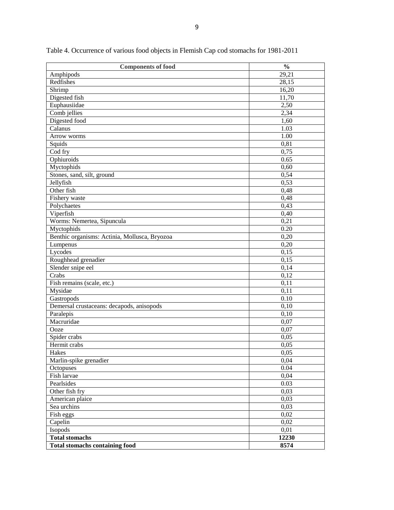| <b>Components of food</b>                     | $\frac{0}{0}$ |
|-----------------------------------------------|---------------|
| Amphipods                                     | 29,21         |
| Redfishes                                     | 28,15         |
| $\overline{\text{Shrimp}}$                    | 16,20         |
| Digested fish                                 | 11,70         |
| Euphausiidae                                  | 2,50          |
| Comb jellies                                  | 2,34          |
| Digested food                                 | 1,60          |
| Calanus                                       | 1.03          |
| Arrow worms                                   | $1.00\,$      |
| Squids                                        | 0,81          |
| Cod fry                                       | 0,75          |
| Ophiuroids                                    | 0.65          |
| Myctophids                                    | 0,60          |
| Stones, sand, silt, ground                    | 0,54          |
| Jellyfish                                     | 0,53          |
| Other fish                                    | 0,48          |
| Fishery waste                                 | 0,48          |
| Polychaetes                                   | 0,43          |
| Viperfish                                     | 0,40          |
| Worms: Nemertea, Sipuncula                    | 0,21          |
| Myctophids                                    | 0.20          |
| Benthic organisms: Actinia, Mollusca, Bryozoa | 0,20          |
| Lumpenus                                      | 0,20          |
| Lycodes                                       | 0,15          |
| Roughhead grenadier                           | 0,15          |
| Slender snipe eel                             | 0,14          |
| Crabs                                         | 0,12          |
| Fish remains (scale, etc.)                    | 0,11          |
| Mysidae                                       | 0,11          |
| Gastropods                                    | 0.10          |
| Demersal crustaceans: decapods, anisopods     | 0,10          |
| Paralepis                                     | 0,10          |
| Macruridae                                    | 0,07          |
| Ooze                                          | 0,07          |
| Spider crabs                                  | 0,05          |
| Hermit crabs                                  | 0,05          |
| Hakes                                         | 0,05          |
| Marlin-spike grenadier                        | 0,04          |
| Octopuses                                     | 0.04          |
| Fish larvae                                   | 0,04          |
| Pearlsides                                    | 0.03          |
| Other fish fry                                | 0,03          |
| American plaice                               | 0,03          |
| Sea urchins                                   | 0,03          |
| Fish eggs                                     | 0,02          |
| Capelin                                       | 0,02          |
| Isopods                                       | 0,01          |
| <b>Total stomachs</b>                         | 12230         |
| <b>Total stomachs containing food</b>         | 8574          |

Table 4. Occurrence of various food objects in Flemish Cap cod stomachs for 1981-2011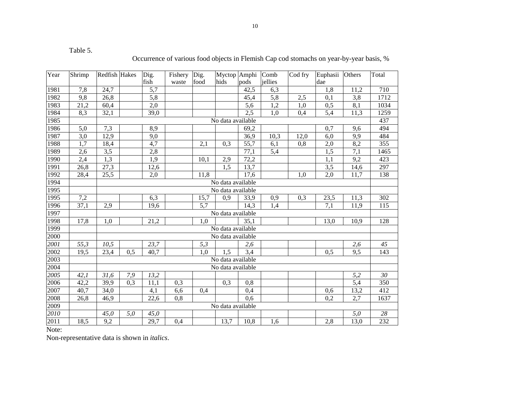| able |
|------|
|------|

Occurrence of various food objects in Flemish Cap cod stomachs on year-by-year basis, %

| Year | Shrimp            | Redfish Hakes     |                   | Dig.             | Fishery          | Dig.             | Myctop Amphi      |                   | Comb             | Cod fry | Euphasii         | Others           | Total            |
|------|-------------------|-------------------|-------------------|------------------|------------------|------------------|-------------------|-------------------|------------------|---------|------------------|------------------|------------------|
|      |                   |                   |                   | fish             | waste            | food             | hids              | pods              | jellies          |         | dae              |                  |                  |
| 1981 | 7,8               | 24,7              |                   | 5,7              |                  |                  |                   | 42,5              | 6,3              |         | 1,8              | 11,2             | 710              |
| 1982 | 9,8               | 26,8              |                   | $\overline{5,8}$ |                  |                  |                   | 45,4              | 5,8              | 2,5     | 0,1              | 3,8              | 1712             |
| 1983 | 21,2              | 60,4              |                   | 2,0              |                  |                  |                   | $\overline{5,6}$  | 1,2              | 1,0     | 0,5              | $\overline{8,1}$ | 1034             |
| 1984 | 8,3               | 32,1              |                   | 39,0             |                  |                  |                   | 2,5               | $\overline{1,0}$ | 0,4     | 5,4              | 11,3             | 1259             |
| 1985 |                   | No data available |                   |                  |                  |                  |                   |                   |                  |         | 437              |                  |                  |
| 1986 | 5,0               | 7,3               |                   | 8,9              |                  |                  |                   | 69,2              |                  |         | 0,7              | 9,6              | 494              |
| 1987 | $\overline{3,0}$  | 12,9              |                   | 9,0              |                  |                  |                   | 36,9              | 10,3             | 12,0    | 6,0              | 9,9              | 484              |
| 1988 | 1,7               | 18,4              |                   | 4,7              |                  | 2,1              | 0,3               | $\overline{55,7}$ | 6,1              | 0,8     | $2,0$            | 8,2              | 355              |
| 1989 | $\overline{2,6}$  | 3,5               |                   | 2,8              |                  |                  |                   | 77,1              | 5,4              |         | $\overline{1,5}$ | $\overline{7,1}$ | 1465             |
| 1990 | 2,4               | 1,3               |                   | 1,9              |                  | 10,1             | 2,9               | 72,2              |                  |         | 1,1              | 9,2              | 423              |
| 1991 | 26,8              | $\overline{27,3}$ |                   | 12,6             |                  |                  | 1,5               | 13,7              |                  |         | 3,5              | 14,6             | 297              |
| 1992 | 28,4              | $\overline{25,5}$ |                   | $\overline{2,0}$ |                  | 11,8             |                   | 17,6              |                  | 1,0     | 2,0              | 11,7             | 138              |
| 1994 |                   | No data available |                   |                  |                  |                  |                   |                   |                  |         |                  |                  |                  |
| 1995 |                   |                   | No data available |                  |                  |                  |                   |                   |                  |         |                  |                  |                  |
| 1995 | 7,2               |                   |                   | 6,3              |                  | 15,7             | 0,9               | 33,9              | 0,9              | 0,3     | 23,5             | 11,3             | 302              |
| 1996 | $\overline{37,1}$ | 2,9               |                   | 19,6             |                  | $\overline{5,7}$ |                   | 14,3              | 1,4              |         | 7,1              | 11,9             | $\overline{115}$ |
| 1997 |                   |                   |                   |                  |                  |                  | No data available |                   |                  |         |                  |                  |                  |
| 1998 | 17,8              | 1,0               |                   | 21,2             |                  | 1,0              |                   | 35,1              |                  |         | 13,0             | 10,9             | 128              |
| 1999 |                   |                   | No data available |                  |                  |                  |                   |                   |                  |         |                  |                  |                  |
| 2000 |                   |                   |                   |                  |                  |                  | No data available |                   |                  |         |                  |                  |                  |
| 2001 | $\overline{55,3}$ | 10,5              |                   | 23,7             |                  | 5,3              |                   | 2,6               |                  |         |                  | 2,6              | 45               |
| 2002 | 19,5              | 23,4              | 0,5               | 40,7             |                  | 1,0              | 1,5               | 3,4               |                  |         | 0,5              | 9,5              | 143              |
| 2003 |                   |                   |                   |                  |                  |                  | No data available |                   |                  |         |                  |                  |                  |
| 2004 |                   |                   |                   |                  |                  |                  | No data available |                   |                  |         |                  |                  |                  |
| 2005 | 42,1              | 31,6              | 7,9               | 13,2             |                  |                  |                   |                   |                  |         |                  | 5,2              | 30               |
| 2006 | 42,2              | 39,9              | 0,3               | 11,1             | 0,3              |                  | 0,3               | 0,8               |                  |         |                  | 5,4              | $\overline{350}$ |
| 2007 | 40,7              | 34,0              |                   | 4,1              | 6,6              | 0,4              |                   | 0,4               |                  |         | 0,6              | 13,2             | 412              |
| 2008 | $\overline{26,8}$ | 46,9              |                   | 22,6             | $\overline{0,8}$ |                  |                   | $\overline{0,6}$  |                  |         | $\overline{0,2}$ | 2,7              | 1637             |
| 2009 |                   |                   |                   |                  |                  |                  | No data available |                   |                  |         |                  |                  |                  |
| 2010 |                   | 45,0              | 5,0               | 45,0             |                  |                  |                   |                   |                  |         |                  | 5,0              | $\overline{28}$  |
| 2011 | 18,5              | 9,2               |                   | 29,7             | 0,4              |                  | 13,7              | 10,8              | 1,6              |         | 2,8              | 13,0             | 232              |

Note: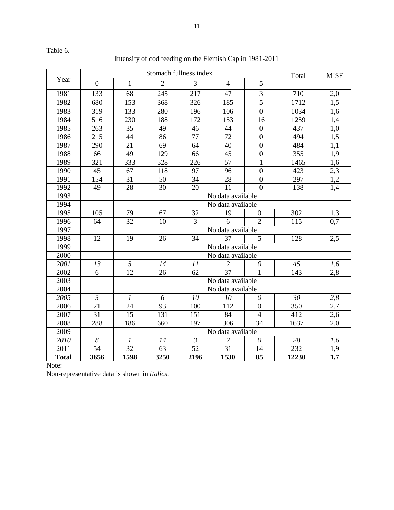Intensity of cod feeding on the Flemish Cap in 1981-2011

|              |                |                   | Stomach fullness index | Total                     | <b>MISF</b>       |                  |       |                  |  |  |  |  |
|--------------|----------------|-------------------|------------------------|---------------------------|-------------------|------------------|-------|------------------|--|--|--|--|
| Year         | $\overline{0}$ | $\mathbf{1}$      | $\overline{2}$         | 3                         | $\overline{4}$    | 5                |       |                  |  |  |  |  |
| 1981         | 133            | 68                | 245                    | 217                       | 47                | $\overline{3}$   | 710   | 2,0              |  |  |  |  |
| 1982         | 680            | 153               | 368                    | 326                       | 185               | 5                | 1712  | 1.5              |  |  |  |  |
| 1983         | 319            | 133               | 280                    | 196                       | 106               | $\overline{0}$   | 1034  | 1,6              |  |  |  |  |
| 1984         | 516            | 230               | 188                    | 172                       | 153               | 16               | 1259  | 1,4              |  |  |  |  |
| 1985         | 263            | 35                | 49                     | 46                        | 44                | $\boldsymbol{0}$ | 437   | 1,0              |  |  |  |  |
| 1986         | 215            | 44                | 86                     | 77                        | 72                | $\boldsymbol{0}$ | 494   | 1,5              |  |  |  |  |
| 1987         | 290            | 21                | 69                     | 64                        | 40                | $\overline{0}$   | 484   | 1,1              |  |  |  |  |
| 1988         | 66             | 49                | 129                    | 66                        | 45                | $\boldsymbol{0}$ | 355   | 1.9              |  |  |  |  |
| 1989         | 321            | 333               | 528                    | 226                       | 57                | $\mathbf{1}$     | 1465  | 1,6              |  |  |  |  |
| 1990         | 45             | 67                | 118                    | 97                        | 96                | $\overline{0}$   | 423   | 2,3              |  |  |  |  |
| 1991         | 154            | 31                | 50                     | 34                        | 28                | $\boldsymbol{0}$ | 297   | 1,2              |  |  |  |  |
| 1992         | 49             | 28                | 30                     | 20                        | 11                | $\Omega$         | 138   | 1,4              |  |  |  |  |
| 1993         |                |                   | No data available      |                           |                   |                  |       |                  |  |  |  |  |
| 1994         |                | No data available |                        |                           |                   |                  |       |                  |  |  |  |  |
| 1995         | 105            | 79                | 67                     | 32                        | 19                | $\overline{0}$   | 302   | 1,3              |  |  |  |  |
| 1996         | 64             | 32                | 10                     | $\overline{3}$            | 6                 | $\overline{2}$   | 115   | 0,7              |  |  |  |  |
| 1997         |                |                   | No data available      |                           |                   |                  |       |                  |  |  |  |  |
| 1998         | 12             | 19                | 26                     | 34                        | 37                | 5                | 128   | 2,5              |  |  |  |  |
| 1999         |                |                   |                        |                           | No data available |                  |       |                  |  |  |  |  |
| 2000         |                |                   |                        |                           | No data available |                  |       |                  |  |  |  |  |
| 2001         | 13             | 5                 | 14                     | 11                        | $\overline{2}$    | $\theta$         | 45    | 1,6              |  |  |  |  |
| 2002         | 6              | 12                | 26                     | 62                        | $\overline{37}$   | $\mathbf{1}$     | 143   | $2,\overline{8}$ |  |  |  |  |
| 2003         |                |                   |                        |                           | No data available |                  |       |                  |  |  |  |  |
| 2004         |                |                   |                        |                           | No data available |                  |       |                  |  |  |  |  |
| 2005         | $\mathfrak{Z}$ | $\boldsymbol{l}$  | 6                      | 10                        | 10                | $\theta$         | 30    | 2,8              |  |  |  |  |
| 2006         | 21             | 24                | 93                     | 100                       | 112               | $\boldsymbol{0}$ | 350   | 2,7              |  |  |  |  |
| 2007         | 31             | 15                | 131                    | 151                       | 84                | $\overline{4}$   | 412   | 2,6              |  |  |  |  |
| 2008         | 288            | 186               | 660                    | 197                       | 306               | 34               | 1637  | 2,0              |  |  |  |  |
| 2009         |                |                   |                        |                           | No data available |                  |       |                  |  |  |  |  |
| 2010         | 8              | $\mathcal{I}$     | 14                     | $\overline{\mathfrak{z}}$ | 2                 | $\theta$         | 28    | 1,6              |  |  |  |  |
| 2011         | 54             | 32                | 63                     | 52                        | 31                | 14               | 232   | 1,9              |  |  |  |  |
| <b>Total</b> | 3656           | 1598              | 3250                   | 2196                      | 1530              | 85               | 12230 | 1,7              |  |  |  |  |

Note: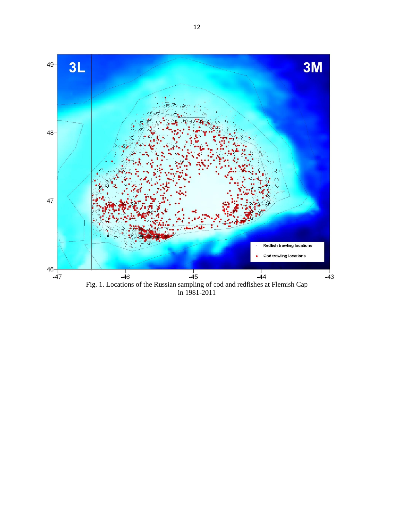